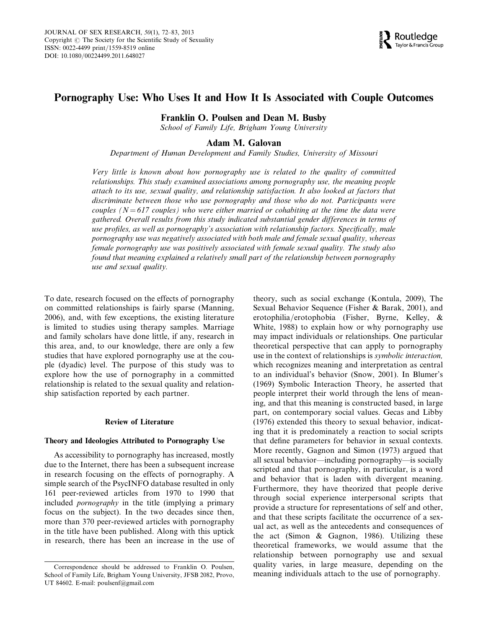

# Pornography Use: Who Uses It and How It Is Associated with Couple Outcomes

Franklin O. Poulsen and Dean M. Busby

School of Family Life, Brigham Young University

### Adam M. Galovan

Department of Human Development and Family Studies, University of Missouri

Very little is known about how pornography use is related to the quality of committed relationships. This study examined associations among pornography use, the meaning people attach to its use, sexual quality, and relationship satisfaction. It also looked at factors that discriminate between those who use pornography and those who do not. Participants were couples ( $N = 617$  couples) who were either married or cohabiting at the time the data were gathered. Overall results from this study indicated substantial gender differences in terms of use profiles, as well as pornography's association with relationship factors. Specifically, male pornography use was negatively associated with both male and female sexual quality, whereas female pornography use was positively associated with female sexual quality. The study also found that meaning explained a relatively small part of the relationship between pornography use and sexual quality.

To date, research focused on the effects of pornography on committed relationships is fairly sparse (Manning, 2006), and, with few exceptions, the existing literature is limited to studies using therapy samples. Marriage and family scholars have done little, if any, research in this area, and, to our knowledge, there are only a few studies that have explored pornography use at the couple (dyadic) level. The purpose of this study was to explore how the use of pornography in a committed relationship is related to the sexual quality and relationship satisfaction reported by each partner.

### Review of Literature

#### Theory and Ideologies Attributed to Pornography Use

As accessibility to pornography has increased, mostly due to the Internet, there has been a subsequent increase in research focusing on the effects of pornography. A simple search of the PsycINFO database resulted in only 161 peer-reviewed articles from 1970 to 1990 that included pornography in the title (implying a primary focus on the subject). In the two decades since then, more than 370 peer-reviewed articles with pornography in the title have been published. Along with this uptick in research, there has been an increase in the use of theory, such as social exchange (Kontula, 2009), The Sexual Behavior Sequence (Fisher & Barak, 2001), and erotophilia/erotophobia (Fisher, Byrne, Kelley, & White, 1988) to explain how or why pornography use may impact individuals or relationships. One particular theoretical perspective that can apply to pornography use in the context of relationships is symbolic interaction, which recognizes meaning and interpretation as central to an individual's behavior (Snow, 2001). In Blumer's (1969) Symbolic Interaction Theory, he asserted that people interpret their world through the lens of meaning, and that this meaning is constructed based, in large part, on contemporary social values. Gecas and Libby (1976) extended this theory to sexual behavior, indicating that it is predominately a reaction to social scripts that define parameters for behavior in sexual contexts. More recently, Gagnon and Simon (1973) argued that all sexual behavior—including pornography—is socially scripted and that pornography, in particular, is a word and behavior that is laden with divergent meaning. Furthermore, they have theorized that people derive through social experience interpersonal scripts that provide a structure for representations of self and other, and that these scripts facilitate the occurrence of a sexual act, as well as the antecedents and consequences of the act (Simon & Gagnon, 1986). Utilizing these theoretical frameworks, we would assume that the relationship between pornography use and sexual quality varies, in large measure, depending on the meaning individuals attach to the use of pornography.

Correspondence should be addressed to Franklin O. Poulsen, School of Family Life, Brigham Young University, JFSB 2082, Provo, UT 84602. E-mail: poulsenf@gmail.com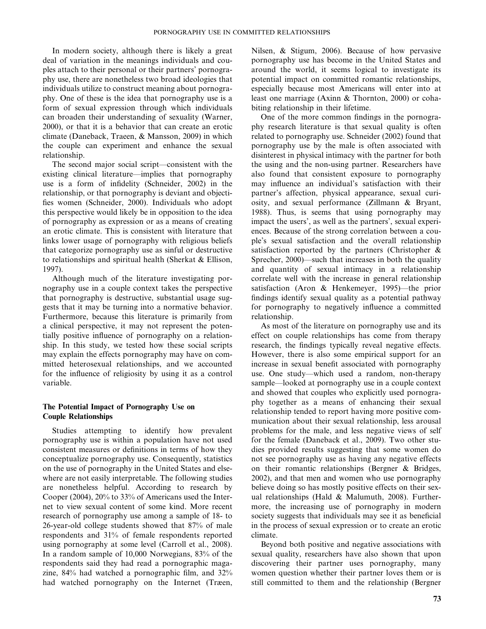In modern society, although there is likely a great deal of variation in the meanings individuals and couples attach to their personal or their partners' pornography use, there are nonetheless two broad ideologies that individuals utilize to construct meaning about pornography. One of these is the idea that pornography use is a form of sexual expression through which individuals can broaden their understanding of sexuality (Warner, 2000), or that it is a behavior that can create an erotic climate (Daneback, Traeen, & Mansson, 2009) in which the couple can experiment and enhance the sexual relationship.

The second major social script—consistent with the existing clinical literature—implies that pornography use is a form of infidelity (Schneider, 2002) in the relationship, or that pornography is deviant and objectifies women (Schneider, 2000). Individuals who adopt this perspective would likely be in opposition to the idea of pornography as expression or as a means of creating an erotic climate. This is consistent with literature that links lower usage of pornography with religious beliefs that categorize pornography use as sinful or destructive to relationships and spiritual health (Sherkat & Ellison, 1997).

Although much of the literature investigating pornography use in a couple context takes the perspective that pornography is destructive, substantial usage suggests that it may be turning into a normative behavior. Furthermore, because this literature is primarily from a clinical perspective, it may not represent the potentially positive influence of pornography on a relationship. In this study, we tested how these social scripts may explain the effects pornography may have on committed heterosexual relationships, and we accounted for the influence of religiosity by using it as a control variable.

# The Potential Impact of Pornography Use on Couple Relationships

Studies attempting to identify how prevalent pornography use is within a population have not used consistent measures or definitions in terms of how they conceptualize pornography use. Consequently, statistics on the use of pornography in the United States and elsewhere are not easily interpretable. The following studies are nonetheless helpful. According to research by Cooper (2004), 20% to 33% of Americans used the Internet to view sexual content of some kind. More recent research of pornography use among a sample of 18- to 26-year-old college students showed that 87% of male respondents and 31% of female respondents reported using pornography at some level (Carroll et al., 2008). In a random sample of 10,000 Norwegians, 83% of the respondents said they had read a pornographic magazine, 84% had watched a pornographic film, and 32% had watched pornography on the Internet (Træen,

Nilsen, & Stigum, 2006). Because of how pervasive pornography use has become in the United States and around the world, it seems logical to investigate its potential impact on committed romantic relationships, especially because most Americans will enter into at least one marriage (Axinn & Thornton, 2000) or cohabiting relationship in their lifetime.

One of the more common findings in the pornography research literature is that sexual quality is often related to pornography use. Schneider (2002) found that pornography use by the male is often associated with disinterest in physical intimacy with the partner for both the using and the non-using partner. Researchers have also found that consistent exposure to pornography may influence an individual's satisfaction with their partner's affection, physical appearance, sexual curiosity, and sexual performance (Zillmann & Bryant, 1988). Thus, is seems that using pornography may impact the users', as well as the partners', sexual experiences. Because of the strong correlation between a couple's sexual satisfaction and the overall relationship satisfaction reported by the partners (Christopher & Sprecher, 2000)—such that increases in both the quality and quantity of sexual intimacy in a relationship correlate well with the increase in general relationship satisfaction (Aron & Henkemeyer, 1995)—the prior findings identify sexual quality as a potential pathway for pornography to negatively influence a committed relationship.

As most of the literature on pornography use and its effect on couple relationships has come from therapy research, the findings typically reveal negative effects. However, there is also some empirical support for an increase in sexual benefit associated with pornography use. One study—which used a random, non-therapy sample—looked at pornography use in a couple context and showed that couples who explicitly used pornography together as a means of enhancing their sexual relationship tended to report having more positive communication about their sexual relationship, less arousal problems for the male, and less negative views of self for the female (Daneback et al., 2009). Two other studies provided results suggesting that some women do not see pornography use as having any negative effects on their romantic relationships (Bergner & Bridges, 2002), and that men and women who use pornography believe doing so has mostly positive effects on their sexual relationships (Hald & Malumuth, 2008). Furthermore, the increasing use of pornography in modern society suggests that individuals may see it as beneficial in the process of sexual expression or to create an erotic climate.

Beyond both positive and negative associations with sexual quality, researchers have also shown that upon discovering their partner uses pornography, many women question whether their partner loves them or is still committed to them and the relationship (Bergner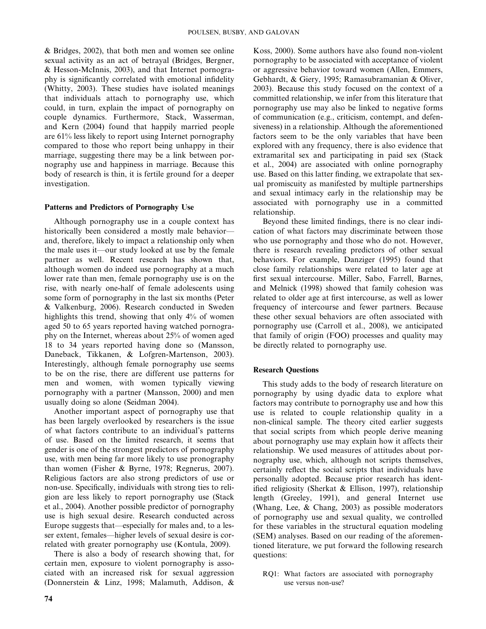& Bridges, 2002), that both men and women see online sexual activity as an act of betrayal (Bridges, Bergner, & Hesson-McInnis, 2003), and that Internet pornography is significantly correlated with emotional infidelity (Whitty, 2003). These studies have isolated meanings that individuals attach to pornography use, which could, in turn, explain the impact of pornography on couple dynamics. Furthermore, Stack, Wasserman, and Kern (2004) found that happily married people are 61% less likely to report using Internet pornography compared to those who report being unhappy in their marriage, suggesting there may be a link between pornography use and happiness in marriage. Because this body of research is thin, it is fertile ground for a deeper investigation.

## Patterns and Predictors of Pornography Use

Although pornography use in a couple context has historically been considered a mostly male behavior and, therefore, likely to impact a relationship only when the male uses it—our study looked at use by the female partner as well. Recent research has shown that, although women do indeed use pornography at a much lower rate than men, female pornography use is on the rise, with nearly one-half of female adolescents using some form of pornography in the last six months (Peter & Valkenburg, 2006). Research conducted in Sweden highlights this trend, showing that only 4% of women aged 50 to 65 years reported having watched pornography on the Internet, whereas about 25% of women aged 18 to 34 years reported having done so (Mansson, Daneback, Tikkanen, & Lofgren-Martenson, 2003). Interestingly, although female pornography use seems to be on the rise, there are different use patterns for men and women, with women typically viewing pornography with a partner (Mansson, 2000) and men usually doing so alone (Seidman 2004).

Another important aspect of pornography use that has been largely overlooked by researchers is the issue of what factors contribute to an individual's patterns of use. Based on the limited research, it seems that gender is one of the strongest predictors of pornography use, with men being far more likely to use pronography than women (Fisher & Byrne, 1978; Regnerus, 2007). Religious factors are also strong predictors of use or non-use. Specifically, individuals with strong ties to religion are less likely to report pornography use (Stack et al., 2004). Another possible predictor of pornography use is high sexual desire. Research conducted across Europe suggests that—especially for males and, to a lesser extent, females—higher levels of sexual desire is correlated with greater pornography use (Kontula, 2009).

There is also a body of research showing that, for certain men, exposure to violent pornography is associated with an increased risk for sexual aggression (Donnerstein & Linz, 1998; Malamuth, Addison, & Koss, 2000). Some authors have also found non-violent pornography to be associated with acceptance of violent or aggressive behavior toward women (Allen, Emmers, Gebhardt, & Giery, 1995; Ramasubramanian & Oliver, 2003). Because this study focused on the context of a committed relationship, we infer from this literature that pornography use may also be linked to negative forms of communication (e.g., criticism, contempt, and defensiveness) in a relationship. Although the aforementioned factors seem to be the only variables that have been explored with any frequency, there is also evidence that extramarital sex and participating in paid sex (Stack et al., 2004) are associated with online pornography use. Based on this latter finding, we extrapolate that sexual promiscuity as manifested by multiple partnerships and sexual intimacy early in the relationship may be associated with pornography use in a committed relationship.

Beyond these limited findings, there is no clear indication of what factors may discriminate between those who use pornography and those who do not. However, there is research revealing predictors of other sexual behaviors. For example, Danziger (1995) found that close family relationships were related to later age at first sexual intercourse. Miller, Sabo, Farrell, Barnes, and Melnick (1998) showed that family cohesion was related to older age at first intercourse, as well as lower frequency of intercourse and fewer partners. Because these other sexual behaviors are often associated with pornography use (Carroll et al., 2008), we anticipated that family of origin (FOO) processes and quality may be directly related to pornography use.

# Research Questions

This study adds to the body of research literature on pornography by using dyadic data to explore what factors may contribute to pornography use and how this use is related to couple relationship quality in a non-clinical sample. The theory cited earlier suggests that social scripts from which people derive meaning about pornography use may explain how it affects their relationship. We used measures of attitudes about pornography use, which, although not scripts themselves, certainly reflect the social scripts that individuals have personally adopted. Because prior research has identified religiosity (Sherkat & Ellison, 1997), relationship length (Greeley, 1991), and general Internet use (Whang, Lee, & Chang, 2003) as possible moderators of pornography use and sexual quality, we controlled for these variables in the structural equation modeling (SEM) analyses. Based on our reading of the aforementioned literature, we put forward the following research questions:

RQ1: What factors are associated with pornography use versus non-use?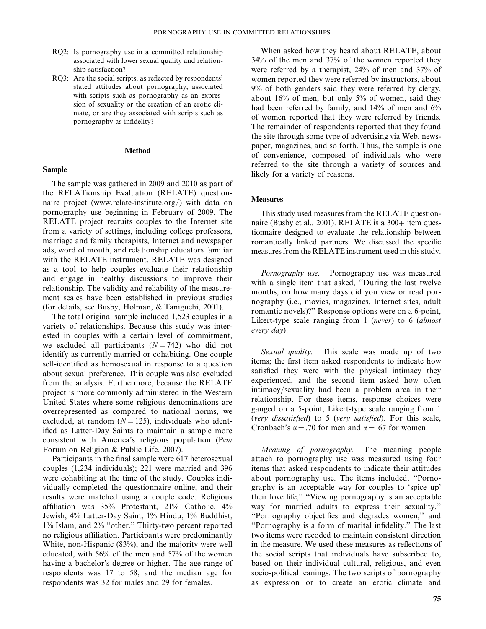- RQ2: Is pornography use in a committed relationship associated with lower sexual quality and relationship satisfaction?
- RQ3: Are the social scripts, as reflected by respondents' stated attitudes about pornography, associated with scripts such as pornography as an expression of sexuality or the creation of an erotic climate, or are they associated with scripts such as pornography as infidelity?

#### Method

#### Sample

The sample was gathered in 2009 and 2010 as part of the RELATionship Evaluation (RELATE) questionnaire project (www.relate-institute.org/) with data on pornography use beginning in February of 2009. The RELATE project recruits couples to the Internet site from a variety of settings, including college professors, marriage and family therapists, Internet and newspaper ads, word of mouth, and relationship educators familiar with the RELATE instrument. RELATE was designed as a tool to help couples evaluate their relationship and engage in healthy discussions to improve their relationship. The validity and reliability of the measurement scales have been established in previous studies (for details, see Busby, Holman, & Taniguchi, 2001).

The total original sample included 1,523 couples in a variety of relationships. Because this study was interested in couples with a certain level of commitment, we excluded all participants  $(N = 742)$  who did not identify as currently married or cohabiting. One couple self-identified as homosexual in response to a question about sexual preference. This couple was also excluded from the analysis. Furthermore, because the RELATE project is more commonly administered in the Western United States where some religious denominations are overrepresented as compared to national norms, we excluded, at random  $(N = 125)$ , individuals who identified as Latter-Day Saints to maintain a sample more consistent with America's religious population (Pew Forum on Religion & Public Life, 2007).

Participants in the final sample were 617 heterosexual couples (1,234 individuals); 221 were married and 396 were cohabiting at the time of the study. Couples individually completed the questionnaire online, and their results were matched using a couple code. Religious affiliation was 35% Protestant, 21% Catholic, 4% Jewish, 4% Latter-Day Saint, 1% Hindu, 1% Buddhist, 1% Islam, and 2% ''other.'' Thirty-two percent reported no religious affiliation. Participants were predominantly White, non-Hispanic (83%), and the majority were well educated, with 56% of the men and 57% of the women having a bachelor's degree or higher. The age range of respondents was 17 to 58, and the median age for respondents was 32 for males and 29 for females.

When asked how they heard about RELATE, about 34% of the men and 37% of the women reported they were referred by a therapist, 24% of men and 37% of women reported they were referred by instructors, about 9% of both genders said they were referred by clergy, about  $16\%$  of men, but only  $5\%$  of women, said they had been referred by family, and 14% of men and 6% of women reported that they were referred by friends. The remainder of respondents reported that they found the site through some type of advertising via Web, newspaper, magazines, and so forth. Thus, the sample is one of convenience, composed of individuals who were referred to the site through a variety of sources and likely for a variety of reasons.

### **Measures**

This study used measures from the RELATE questionnaire (Busby et al., 2001). RELATE is a 300+ item questionnaire designed to evaluate the relationship between romantically linked partners. We discussed the specific measures from the RELATE instrument used in this study.

Pornography use. Pornography use was measured with a single item that asked, ''During the last twelve months, on how many days did you view or read pornography (i.e., movies, magazines, Internet sites, adult romantic novels)?'' Response options were on a 6-point, Likert-type scale ranging from 1 (never) to 6 (almost every day).

Sexual quality. This scale was made up of two items; the first item asked respondents to indicate how satisfied they were with the physical intimacy they experienced, and the second item asked how often intimacy/sexuality had been a problem area in their relationship. For these items, response choices were gauged on a 5-point, Likert-type scale ranging from 1 (very dissatisfied) to 5 (very satisfied). For this scale, Cronbach's  $\alpha = .70$  for men and  $\alpha = .67$  for women.

Meaning of pornography. The meaning people attach to pornography use was measured using four items that asked respondents to indicate their attitudes about pornography use. The items included, ''Pornography is an acceptable way for couples to 'spice up' their love life,'' ''Viewing pornography is an acceptable way for married adults to express their sexuality,'' ''Pornography objectifies and degrades women,'' and ''Pornography is a form of marital infidelity.'' The last two items were recoded to maintain consistent direction in the measure. We used these measures as reflections of the social scripts that individuals have subscribed to, based on their individual cultural, religious, and even socio-political leanings. The two scripts of pornography as expression or to create an erotic climate and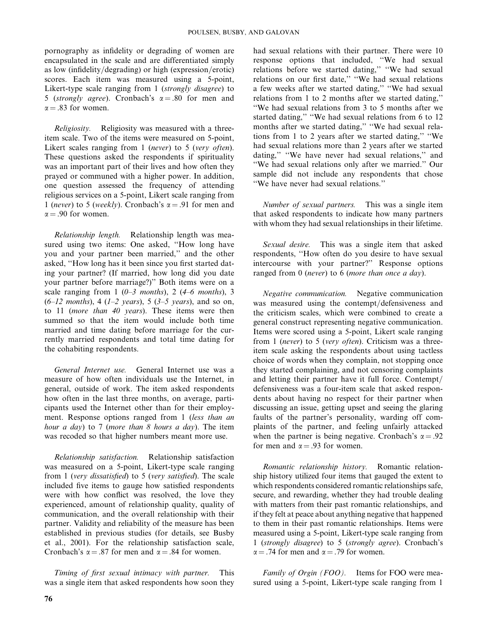pornography as infidelity or degrading of women are encapsulated in the scale and are differentiated simply as low (infidelity/degrading) or high (expression/erotic) scores. Each item was measured using a 5-point, Likert-type scale ranging from 1 (strongly disagree) to 5 (strongly agree). Cronbach's  $\alpha = .80$  for men and  $\alpha = .83$  for women.

Religiosity. Religiosity was measured with a threeitem scale. Two of the items were measured on 5-point, Likert scales ranging from 1 (never) to 5 (very often). These questions asked the respondents if spirituality was an important part of their lives and how often they prayed or communed with a higher power. In addition, one question assessed the frequency of attending religious services on a 5-point, Likert scale ranging from 1 (never) to 5 (weekly). Cronbach's  $\alpha$  = .91 for men and  $\alpha = .90$  for women.

Relationship length. Relationship length was measured using two items: One asked, ''How long have you and your partner been married,'' and the other asked, ''How long has it been since you first started dating your partner? (If married, how long did you date your partner before marriage?)'' Both items were on a scale ranging from 1 ( $0-3$  months), 2 ( $4-6$  months), 3  $(6–12$  months), 4 (1–2 years), 5 (3–5 years), and so on, to 11 (more than 40 years). These items were then summed so that the item would include both time married and time dating before marriage for the currently married respondents and total time dating for the cohabiting respondents.

General Internet use. General Internet use was a measure of how often individuals use the Internet, in general, outside of work. The item asked respondents how often in the last three months, on average, participants used the Internet other than for their employment. Response options ranged from 1 (less than an hour a day) to 7 (more than 8 hours a day). The item was recoded so that higher numbers meant more use.

Relationship satisfaction. Relationship satisfaction was measured on a 5-point, Likert-type scale ranging from 1 (very dissatisfied) to 5 (very satisfied). The scale included five items to gauge how satisfied respondents were with how conflict was resolved, the love they experienced, amount of relationship quality, quality of communication, and the overall relationship with their partner. Validity and reliability of the measure has been established in previous studies (for details, see Busby et al., 2001). For the relationship satisfaction scale, Cronbach's  $\alpha = .87$  for men and  $\alpha = .84$  for women.

Timing of first sexual intimacy with partner. This was a single item that asked respondents how soon they had sexual relations with their partner. There were 10 response options that included, ''We had sexual relations before we started dating,'' ''We had sexual relations on our first date,'' ''We had sexual relations a few weeks after we started dating,'' ''We had sexual relations from 1 to 2 months after we started dating,'' ''We had sexual relations from 3 to 5 months after we started dating,'' ''We had sexual relations from 6 to 12 months after we started dating,'' ''We had sexual relations from 1 to 2 years after we started dating,'' ''We had sexual relations more than 2 years after we started dating,'' ''We have never had sexual relations,'' and ''We had sexual relations only after we married.'' Our sample did not include any respondents that chose ''We have never had sexual relations.''

Number of sexual partners. This was a single item that asked respondents to indicate how many partners with whom they had sexual relationships in their lifetime.

Sexual desire. This was a single item that asked respondents, ''How often do you desire to have sexual intercourse with your partner?'' Response options ranged from 0 (never) to 6 (more than once a day).

Negative communication. Negative communication was measured using the contempt/defensiveness and the criticism scales, which were combined to create a general construct representing negative communication. Items were scored using a 5-point, Likert scale ranging from 1 (never) to 5 (very often). Criticism was a threeitem scale asking the respondents about using tactless choice of words when they complain, not stopping once they started complaining, and not censoring complaints and letting their partner have it full force. Contempt/ defensiveness was a four-item scale that asked respondents about having no respect for their partner when discussing an issue, getting upset and seeing the glaring faults of the partner's personality, warding off complaints of the partner, and feeling unfairly attacked when the partner is being negative. Cronbach's  $\alpha = .92$ for men and  $\alpha = .93$  for women.

Romantic relationship history. Romantic relationship history utilized four items that gauged the extent to which respondents considered romantic relationships safe, secure, and rewarding, whether they had trouble dealing with matters from their past romantic relationships, and if they felt at peace about anything negative that happened to them in their past romantic relationships. Items were measured using a 5-point, Likert-type scale ranging from 1 (strongly disagree) to 5 (strongly agree). Cronbach's  $\alpha = .74$  for men and  $\alpha = .79$  for women.

Family of Orgin (FOO). Items for FOO were measured using a 5-point, Likert-type scale ranging from 1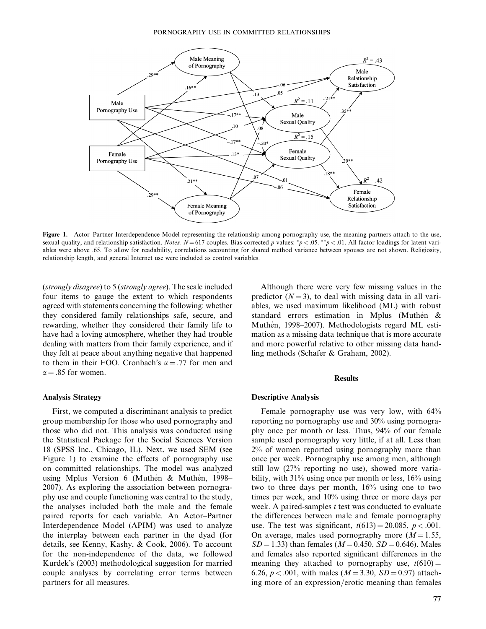

Figure 1. Actor–Partner Interdependence Model representing the relationship among pornography use, the meaning partners attach to the use, sexual quality, and relationship satisfaction. Notes.  $N=617$  couples. Bias-corrected p values: \*p < .05. \*\*p < .01. All factor loadings for latent variables were above .65. To allow for readability, correlations accounting for shared method variance between spouses are not shown. Religiosity, relationship length, and general Internet use were included as control variables.

(strongly disagree) to 5 (strongly agree). The scale included four items to gauge the extent to which respondents agreed with statements concerning the following: whether they considered family relationships safe, secure, and rewarding, whether they considered their family life to have had a loving atmosphere, whether they had trouble dealing with matters from their family experience, and if they felt at peace about anything negative that happened to them in their FOO. Cronbach's  $\alpha = .77$  for men and  $\alpha = .85$  for women.

#### Analysis Strategy

First, we computed a discriminant analysis to predict group membership for those who used pornography and those who did not. This analysis was conducted using the Statistical Package for the Social Sciences Version 18 (SPSS Inc., Chicago, IL). Next, we used SEM (see Figure 1) to examine the effects of pornography use on committed relationships. The model was analyzed using Mplus Version 6 (Muthén & Muthén, 1998– 2007). As exploring the association between pornography use and couple functioning was central to the study, the analyses included both the male and the female paired reports for each variable. An Actor–Partner Interdependence Model (APIM) was used to analyze the interplay between each partner in the dyad (for details, see Kenny, Kashy, & Cook, 2006). To account for the non-independence of the data, we followed Kurdek's (2003) methodological suggestion for married couple analyses by correlating error terms between partners for all measures.

Although there were very few missing values in the predictor  $(N = 3)$ , to deal with missing data in all variables, we used maximum likelihood (ML) with robust standard errors estimation in Mplus (Muthén & Muthén, 1998–2007). Methodologists regard ML estimation as a missing data technique that is more accurate and more powerful relative to other missing data handling methods (Schafer & Graham, 2002).

#### Results

#### Descriptive Analysis

Female pornography use was very low, with  $64\%$ reporting no pornography use and 30% using pornography once per month or less. Thus, 94% of our female sample used pornography very little, if at all. Less than 2% of women reported using pornography more than once per week. Pornography use among men, although still low (27% reporting no use), showed more variability, with 31% using once per month or less, 16% using two to three days per month, 16% using one to two times per week, and 10% using three or more days per week. A paired-samples  $t$  test was conducted to evaluate the differences between male and female pornography use. The test was significant,  $t(613) = 20.085$ ,  $p < .001$ . On average, males used pornography more  $(M = 1.55$ ,  $SD = 1.33$ ) than females ( $M = 0.450$ ,  $SD = 0.646$ ). Males and females also reported significant differences in the meaning they attached to pornography use,  $t(610) =$ 6.26,  $p < .001$ , with males ( $M = 3.30$ ,  $SD = 0.97$ ) attaching more of an expression/erotic meaning than females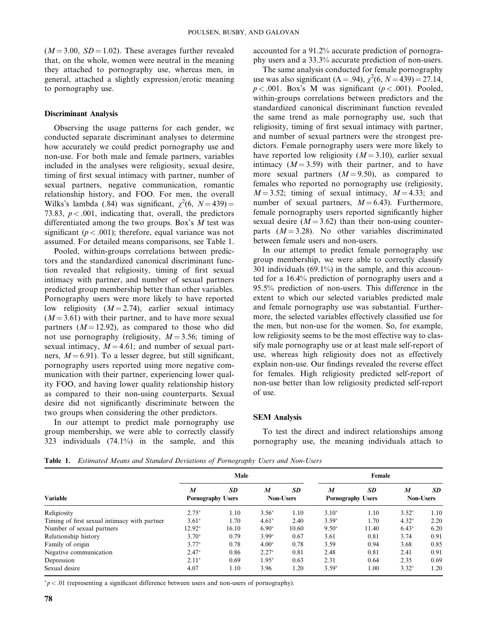$(M = 3.00, SD = 1.02)$ . These averages further revealed that, on the whole, women were neutral in the meaning they attached to pornography use, whereas men, in general, attached a slightly expression/erotic meaning to pornography use.

#### Discriminant Analysis

Observing the usage patterns for each gender, we conducted separate discriminant analyses to determine how accurately we could predict pornography use and non-use. For both male and female partners, variables included in the analyses were religiosity, sexual desire, timing of first sexual intimacy with partner, number of sexual partners, negative communication, romantic relationship history, and FOO. For men, the overall Wilks's lambda (.84) was significant,  $\chi^2(6, N=439)$  = 73.83,  $p < .001$ , indicating that, overall, the predictors differentiated among the two groups. Box's  $M$  test was significant ( $p < .001$ ); therefore, equal variance was not assumed. For detailed means comparisons, see Table 1.

Pooled, within-groups correlations between predictors and the standardized canonical discriminant function revealed that religiosity, timing of first sexual intimacy with partner, and number of sexual partners predicted group membership better than other variables. Pornography users were more likely to have reported low religiosity  $(M = 2.74)$ , earlier sexual intimacy  $(M = 3.61)$  with their partner, and to have more sexual partners  $(M = 12.92)$ , as compared to those who did not use pornography (religiosity,  $M = 3.56$ ; timing of sexual intimacy,  $M = 4.61$ ; and number of sexual partners,  $M = 6.91$ ). To a lesser degree, but still significant, pornography users reported using more negative communication with their partner, experiencing lower quality FOO, and having lower quality relationship history as compared to their non-using counterparts. Sexual desire did not significantly discriminate between the two groups when considering the other predictors.

In our attempt to predict male pornography use group membership, we were able to correctly classify 323 individuals (74.1%) in the sample, and this accounted for a 91.2% accurate prediction of pornography users and a 33.3% accurate prediction of non-users.

The same analysis conducted for female pornography use was also significant ( $\Lambda = .94$ ),  $\chi^2(6, N = 439) = 27.14$ ,  $p < .001$ . Box's M was significant ( $p < .001$ ). Pooled, within-groups correlations between predictors and the standardized canonical discriminant function revealed the same trend as male pornography use, such that religiosity, timing of first sexual intimacy with partner, and number of sexual partners were the strongest predictors. Female pornography users were more likely to have reported low religiosity  $(M = 3.10)$ , earlier sexual intimacy  $(M = 3.59)$  with their partner, and to have more sexual partners  $(M = 9.50)$ , as compared to females who reported no pornography use (religiosity,  $M = 3.52$ ; timing of sexual intimacy,  $M = 4.33$ ; and number of sexual partners,  $M = 6.43$ ). Furthermore, female pornography users reported significantly higher sexual desire  $(M = 3.62)$  than their non-using counterparts  $(M = 3.28)$ . No other variables discriminated between female users and non-users.

In our attempt to predict female pornography use group membership, we were able to correctly classify 301 individuals (69.1%) in the sample, and this accounted for a 16.4% prediction of pornography users and a 95.5% prediction of non-users. This difference in the extent to which our selected variables predicted male and female pornography use was substantial. Furthermore, the selected variables effectively classified use for the men, but non-use for the women. So, for example, low religiosity seems to be the most effective way to classify male pornography use or at least male self-report of use, whereas high religiosity does not as effectively explain non-use. Our findings revealed the reverse effect for females. High religiosity predicted self-report of non-use better than low religiosity predicted self-report of use.

#### SEM Analysis

To test the direct and indirect relationships among pornography use, the meaning individuals attach to

Table 1. Estimated Means and Standard Deviations of Pornography Users and Non-Users

| <b>Variable</b>                              | Male    |                                       |         |                         | Female  |                                |                       |           |
|----------------------------------------------|---------|---------------------------------------|---------|-------------------------|---------|--------------------------------|-----------------------|-----------|
|                                              | M       | <b>SD</b><br><b>Pornography Users</b> | M       | SD.<br><b>Non-Users</b> | M       | SD<br><b>Pornography Users</b> | M<br><b>Non-Users</b> | <b>SD</b> |
| Religiosity                                  | $2.75*$ | 1.10                                  | $3.56*$ | 1.10                    | $3.10*$ | 1.10                           | $3.52*$               | 1.10      |
| Timing of first sexual intimacy with partner | $3.61*$ | 1.70                                  | $4.61*$ | 2.40                    | $3.59*$ | 1.70                           | $4.32*$               | 2.20      |
| Number of sexual partners                    | 12.92*  | 16.10                                 | $6.90*$ | 10.60                   | $9.50*$ | 11.40                          | $6.43*$               | 6.20      |
| Relationship history                         | $3.70*$ | 0.79                                  | $3.99*$ | 0.67                    | 3.61    | 0.81                           | 3.74                  | 0.91      |
| Family of origin                             | $3.77*$ | 0.78                                  | $4.00*$ | 0.78                    | 3.59    | 0.94                           | 3.68                  | 0.85      |
| Negative communication                       | $2.47*$ | 0.86                                  | $2.27*$ | 0.81                    | 2.48    | 0.81                           | 2.41                  | 0.91      |
| Depression                                   | $2.11*$ | 0.69                                  | $1.95*$ | 0.63                    | 2.31    | 0.64                           | 2.35                  | 0.69      |
| Sexual desire                                | 4.07    | 1.10                                  | 3.96    | 1.20                    | $3.59*$ | 1.00                           | $3.32*$               | 1.20      |

 $p < 0.01$  (representing a significant difference between users and non-users of pornography).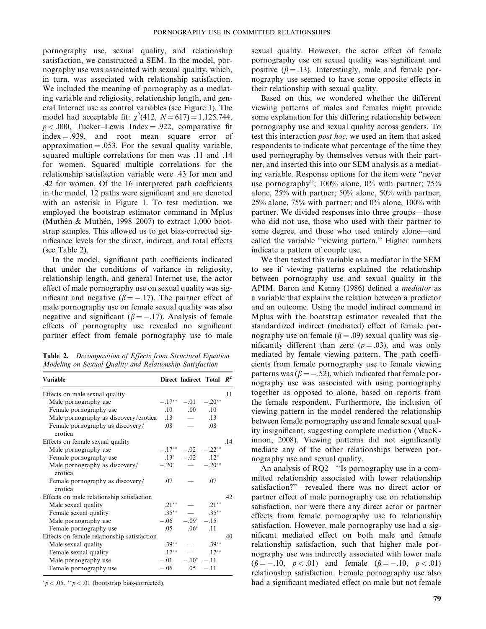pornography use, sexual quality, and relationship satisfaction, we constructed a SEM. In the model, pornography use was associated with sexual quality, which, in turn, was associated with relationship satisfaction. We included the meaning of pornography as a mediating variable and religiosity, relationship length, and general Internet use as control variables (see Figure 1). The model had acceptable fit:  $\chi^2(412, N = 617) = 1,125.744,$  $p < .000$ , Tucker–Lewis Index = .922, comparative fit  $index = .939$ , and root mean square error of approximation  $= .053$ . For the sexual quality variable, squared multiple correlations for men was .11 and .14 for women. Squared multiple correlations for the relationship satisfaction variable were .43 for men and .42 for women. Of the 16 interpreted path coefficients in the model, 12 paths were significant and are denoted with an asterisk in Figure 1. To test mediation, we employed the bootstrap estimator command in Mplus (Muthén & Muthén, 1998–2007) to extract 1,000 bootstrap samples. This allowed us to get bias-corrected significance levels for the direct, indirect, and total effects (see Table 2).

In the model, significant path coefficients indicated that under the conditions of variance in religiosity, relationship length, and general Internet use, the actor effect of male pornography use on sexual quality was significant and negative ( $\beta = -.17$ ). The partner effect of male pornography use on female sexual quality was also negative and significant ( $\beta = -.17$ ). Analysis of female effects of pornography use revealed no significant partner effect from female pornography use to male

Table 2. Decomposition of Effects from Structural Equation Modeling on Sexual Quality and Relationship Satisfaction

| Variable                                    |          | Direct Indirect Total $R^2$    |         |     |
|---------------------------------------------|----------|--------------------------------|---------|-----|
| Effects on male sexual quality              |          |                                |         | 11  |
| Male pornography use                        |          | $-.17^{**}$ $-.01$ $-.20^{**}$ |         |     |
| Female pornography use                      |          | $.10 \t .00 \t .10$            |         |     |
| 13. Male pornography as discovery/erotica   |          | $-$ .13                        |         |     |
| Female pornography as discovery/<br>erotica | .08      |                                | .08     |     |
| Effects on female sexual quality            |          |                                |         | .14 |
| Male pornography use                        |          | $-.17***$ $-.02$ $-.22**$      |         |     |
| Female pornography use                      |          | $.13^*$ $-.02$ $.12^*$         |         |     |
| Male pornography as discovery/<br>erotica   |          | $-.20^*$ $-.20^{**}$           |         |     |
| Female pornography as discovery/<br>erotica | .07      |                                | .07     |     |
| Effects on male relationship satisfaction   |          |                                |         | .42 |
| Male sexual quality                         |          | $.21***$ $-.21**$              |         |     |
| Female sexual quality                       |          | $.35***$ $-.35**$              |         |     |
| Male pornography use                        |          | $-.06 - .09^* - .15$           |         |     |
| Female pornography use                      |          | $.05 \qquad .06^* \qquad .11$  |         |     |
| Effects on female relationship satisfaction |          |                                |         | .40 |
| Male sexual quality                         |          | $.39^{**}$ $-.39^{**}$         |         |     |
| Female sexual quality                       | $.17***$ | $\sim$ $-$                     | $.17**$ |     |
| Male pornography use                        |          | $-.01 - .10^* - .11$           |         |     |
| Female pornography use                      |          | $-.06$ .05 $-.11$              |         |     |

 $p < .05.$  \*\*p  $< .01$  (bootstrap bias-corrected).

sexual quality. However, the actor effect of female pornography use on sexual quality was significant and positive ( $\beta = .13$ ). Interestingly, male and female pornography use seemed to have some opposite effects in their relationship with sexual quality.

Based on this, we wondered whether the different viewing patterns of males and females might provide some explanation for this differing relationship between pornography use and sexual quality across genders. To test this interaction post hoc, we used an item that asked respondents to indicate what percentage of the time they used pornography by themselves versus with their partner, and inserted this into our SEM analysis as a mediating variable. Response options for the item were ''never use pornography''; 100% alone, 0% with partner; 75% alone, 25% with partner; 50% alone, 50% with partner; 25% alone, 75% with partner; and 0% alone, 100% with partner. We divided responses into three groups—those who did not use, those who used with their partner to some degree, and those who used entirely alone—and called the variable ''viewing pattern.'' Higher numbers indicate a pattern of couple use.

We then tested this variable as a mediator in the SEM to see if viewing patterns explained the relationship between pornography use and sexual quality in the APIM. Baron and Kenny (1986) defined a mediator as a variable that explains the relation between a predictor and an outcome. Using the model indirect command in Mplus with the bootstrap estimator revealed that the standardized indirect (mediated) effect of female pornography use on female ( $\beta$  = .09) sexual quality was significantly different than zero  $(p=.03)$ , and was only mediated by female viewing pattern. The path coefficients from female pornography use to female viewing patterns was ( $\beta = -.52$ ), which indicated that female pornography use was associated with using pornography together as opposed to alone, based on reports from the female respondent. Furthermore, the inclusion of viewing pattern in the model rendered the relationship between female pornography use and female sexual quality insignificant, suggesting complete mediation (MacKinnon, 2008). Viewing patterns did not significantly mediate any of the other relationships between pornography use and sexual quality.

An analysis of RQ2—''Is pornography use in a committed relationship associated with lower relationship satisfaction?''—revealed there was no direct actor or partner effect of male pornography use on relationship satisfaction, nor were there any direct actor or partner effects from female pornography use to relationship satisfaction. However, male pornography use had a significant mediated effect on both male and female relationship satisfaction, such that higher male pornography use was indirectly associated with lower male  $(\beta = -.10, p < .01)$  and female  $(\beta = -.10, p < .01)$ relationship satisfaction. Female pornography use also had a significant mediated effect on male but not female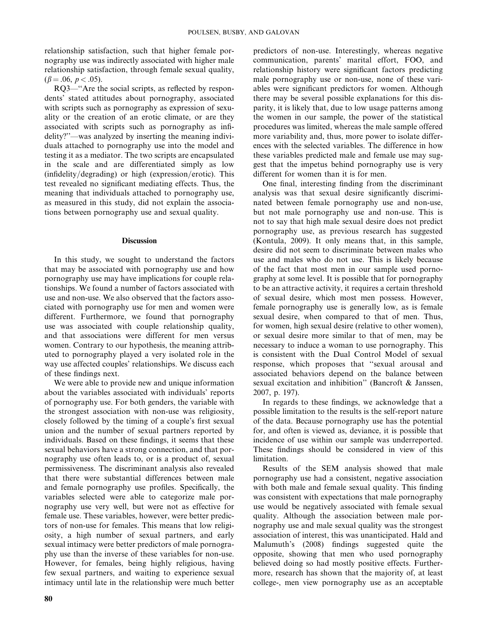relationship satisfaction, such that higher female pornography use was indirectly associated with higher male relationship satisfaction, through female sexual quality,  $(\beta = .06, p < .05).$ 

RO3—"Are the social scripts, as reflected by respondents' stated attitudes about pornography, associated with scripts such as pornography as expression of sexuality or the creation of an erotic climate, or are they associated with scripts such as pornography as infidelity?''—was analyzed by inserting the meaning individuals attached to pornography use into the model and testing it as a mediator. The two scripts are encapsulated in the scale and are differentiated simply as low  $(infidelity/degreading)$  or high (expression/erotic). This test revealed no significant mediating effects. Thus, the meaning that individuals attached to pornography use, as measured in this study, did not explain the associations between pornography use and sexual quality.

#### **Discussion**

In this study, we sought to understand the factors that may be associated with pornography use and how pornography use may have implications for couple relationships. We found a number of factors associated with use and non-use. We also observed that the factors associated with pornography use for men and women were different. Furthermore, we found that pornography use was associated with couple relationship quality, and that associations were different for men versus women. Contrary to our hypothesis, the meaning attributed to pornography played a very isolated role in the way use affected couples' relationships. We discuss each of these findings next.

We were able to provide new and unique information about the variables associated with individuals' reports of pornography use. For both genders, the variable with the strongest association with non-use was religiosity, closely followed by the timing of a couple's first sexual union and the number of sexual partners reported by individuals. Based on these findings, it seems that these sexual behaviors have a strong connection, and that pornography use often leads to, or is a product of, sexual permissiveness. The discriminant analysis also revealed that there were substantial differences between male and female pornography use profiles. Specifically, the variables selected were able to categorize male pornography use very well, but were not as effective for female use. These variables, however, were better predictors of non-use for females. This means that low religiosity, a high number of sexual partners, and early sexual intimacy were better predictors of male pornography use than the inverse of these variables for non-use. However, for females, being highly religious, having few sexual partners, and waiting to experience sexual intimacy until late in the relationship were much better predictors of non-use. Interestingly, whereas negative communication, parents' marital effort, FOO, and relationship history were significant factors predicting male pornography use or non-use, none of these variables were significant predictors for women. Although there may be several possible explanations for this disparity, it is likely that, due to low usage patterns among the women in our sample, the power of the statistical procedures was limited, whereas the male sample offered more variability and, thus, more power to isolate differences with the selected variables. The difference in how these variables predicted male and female use may suggest that the impetus behind pornography use is very different for women than it is for men.

One final, interesting finding from the discriminant analysis was that sexual desire significantly discriminated between female pornography use and non-use, but not male pornography use and non-use. This is not to say that high male sexual desire does not predict pornography use, as previous research has suggested (Kontula, 2009). It only means that, in this sample, desire did not seem to discriminate between males who use and males who do not use. This is likely because of the fact that most men in our sample used pornography at some level. It is possible that for pornography to be an attractive activity, it requires a certain threshold of sexual desire, which most men possess. However, female pornography use is generally low, as is female sexual desire, when compared to that of men. Thus, for women, high sexual desire (relative to other women), or sexual desire more similar to that of men, may be necessary to induce a woman to use pornography. This is consistent with the Dual Control Model of sexual response, which proposes that ''sexual arousal and associated behaviors depend on the balance between sexual excitation and inhibition'' (Bancroft & Janssen, 2007, p. 197).

In regards to these findings, we acknowledge that a possible limitation to the results is the self-report nature of the data. Because pornography use has the potential for, and often is viewed as, deviance, it is possible that incidence of use within our sample was underreported. These findings should be considered in view of this limitation.

Results of the SEM analysis showed that male pornography use had a consistent, negative association with both male and female sexual quality. This finding was consistent with expectations that male pornography use would be negatively associated with female sexual quality. Although the association between male pornography use and male sexual quality was the strongest association of interest, this was unanticipated. Hald and Malumuth's (2008) findings suggested quite the opposite, showing that men who used pornography believed doing so had mostly positive effects. Furthermore, research has shown that the majority of, at least college-, men view pornography use as an acceptable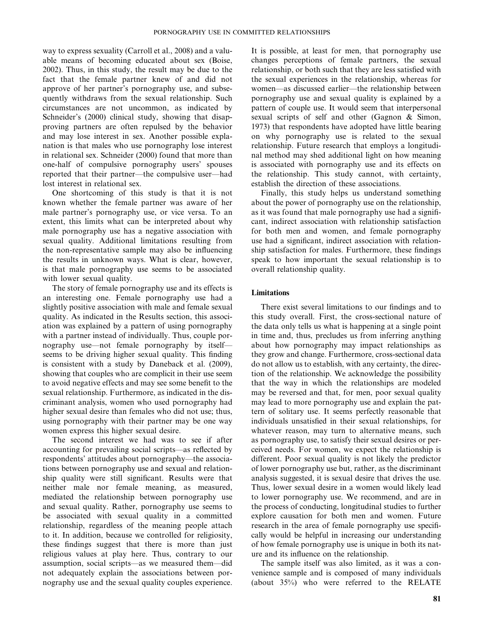way to express sexuality (Carroll et al., 2008) and a valuable means of becoming educated about sex (Boise, 2002). Thus, in this study, the result may be due to the fact that the female partner knew of and did not approve of her partner's pornography use, and subsequently withdraws from the sexual relationship. Such circumstances are not uncommon, as indicated by Schneider's (2000) clinical study, showing that disapproving partners are often repulsed by the behavior and may lose interest in sex. Another possible explanation is that males who use pornography lose interest in relational sex. Schneider (2000) found that more than one-half of compulsive pornography users' spouses reported that their partner—the compulsive user—had lost interest in relational sex.

One shortcoming of this study is that it is not known whether the female partner was aware of her male partner's pornography use, or vice versa. To an extent, this limits what can be interpreted about why male pornography use has a negative association with sexual quality. Additional limitations resulting from the non-representative sample may also be influencing the results in unknown ways. What is clear, however, is that male pornography use seems to be associated with lower sexual quality.

The story of female pornography use and its effects is an interesting one. Female pornography use had a slightly positive association with male and female sexual quality. As indicated in the Results section, this association was explained by a pattern of using pornography with a partner instead of individually. Thus, couple pornography use—not female pornography by itself seems to be driving higher sexual quality. This finding is consistent with a study by Daneback et al. (2009), showing that couples who are complicit in their use seem to avoid negative effects and may see some benefit to the sexual relationship. Furthermore, as indicated in the discriminant analysis, women who used pornography had higher sexual desire than females who did not use; thus, using pornography with their partner may be one way women express this higher sexual desire.

The second interest we had was to see if after accounting for prevailing social scripts—as reflected by respondents' attitudes about pornography—the associations between pornography use and sexual and relationship quality were still significant. Results were that neither male nor female meaning, as measured, mediated the relationship between pornography use and sexual quality. Rather, pornography use seems to be associated with sexual quality in a committed relationship, regardless of the meaning people attach to it. In addition, because we controlled for religiosity, these findings suggest that there is more than just religious values at play here. Thus, contrary to our assumption, social scripts—as we measured them—did not adequately explain the associations between pornography use and the sexual quality couples experience.

It is possible, at least for men, that pornography use changes perceptions of female partners, the sexual relationship, or both such that they are less satisfied with the sexual experiences in the relationship, whereas for women—as discussed earlier—the relationship between pornography use and sexual quality is explained by a pattern of couple use. It would seem that interpersonal sexual scripts of self and other (Gagnon & Simon, 1973) that respondents have adopted have little bearing on why pornography use is related to the sexual relationship. Future research that employs a longitudinal method may shed additional light on how meaning is associated with pornography use and its effects on the relationship. This study cannot, with certainty, establish the direction of these associations.

Finally, this study helps us understand something about the power of pornography use on the relationship, as it was found that male pornography use had a significant, indirect association with relationship satisfaction for both men and women, and female pornography use had a significant, indirect association with relationship satisfaction for males. Furthermore, these findings speak to how important the sexual relationship is to overall relationship quality.

# Limitations

There exist several limitations to our findings and to this study overall. First, the cross-sectional nature of the data only tells us what is happening at a single point in time and, thus, precludes us from inferring anything about how pornography may impact relationships as they grow and change. Furthermore, cross-sectional data do not allow us to establish, with any certainty, the direction of the relationship. We acknowledge the possibility that the way in which the relationships are modeled may be reversed and that, for men, poor sexual quality may lead to more pornography use and explain the pattern of solitary use. It seems perfectly reasonable that individuals unsatisfied in their sexual relationships, for whatever reason, may turn to alternative means, such as pornography use, to satisfy their sexual desires or perceived needs. For women, we expect the relationship is different. Poor sexual quality is not likely the predictor of lower pornography use but, rather, as the discriminant analysis suggested, it is sexual desire that drives the use. Thus, lower sexual desire in a women would likely lead to lower pornography use. We recommend, and are in the process of conducting, longitudinal studies to further explore causation for both men and women. Future research in the area of female pornography use specifically would be helpful in increasing our understanding of how female pornography use is unique in both its nature and its influence on the relationship.

The sample itself was also limited, as it was a convenience sample and is composed of many individuals (about 35%) who were referred to the RELATE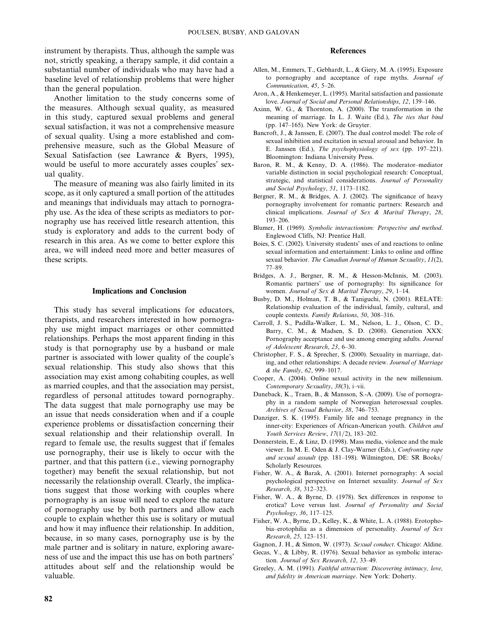instrument by therapists. Thus, although the sample was not, strictly speaking, a therapy sample, it did contain a substantial number of individuals who may have had a baseline level of relationship problems that were higher than the general population.

Another limitation to the study concerns some of the measures. Although sexual quality, as measured in this study, captured sexual problems and general sexual satisfaction, it was not a comprehensive measure of sexual quality. Using a more established and comprehensive measure, such as the Global Measure of Sexual Satisfaction (see Lawrance & Byers, 1995), would be useful to more accurately asses couples' sexual quality.

The measure of meaning was also fairly limited in its scope, as it only captured a small portion of the attitudes and meanings that individuals may attach to pornography use. As the idea of these scripts as mediators to pornography use has received little research attention, this study is exploratory and adds to the current body of research in this area. As we come to better explore this area, we will indeed need more and better measures of these scripts.

#### Implications and Conclusion

This study has several implications for educators, therapists, and researchers interested in how pornography use might impact marriages or other committed relationships. Perhaps the most apparent finding in this study is that pornography use by a husband or male partner is associated with lower quality of the couple's sexual relationship. This study also shows that this association may exist among cohabiting couples, as well as married couples, and that the association may persist, regardless of personal attitudes toward pornography. The data suggest that male pornography use may be an issue that needs consideration when and if a couple experience problems or dissatisfaction concerning their sexual relationship and their relationship overall. In regard to female use, the results suggest that if females use pornography, their use is likely to occur with the partner, and that this pattern (i.e., viewing pornography together) may benefit the sexual relationship, but not necessarily the relationship overall. Clearly, the implications suggest that those working with couples where pornography is an issue will need to explore the nature of pornography use by both partners and allow each couple to explain whether this use is solitary or mutual and how it may influence their relationship. In addition, because, in so many cases, pornography use is by the male partner and is solitary in nature, exploring awareness of use and the impact this use has on both partners' attitudes about self and the relationship would be valuable.

### References

- Allen, M., Emmers, T., Gebhardt, L., & Giery, M. A. (1995). Exposure to pornography and acceptance of rape myths. Journal of Communication, 45, 5–26.
- Aron, A., & Henkemeyer, L. (1995). Marital satisfaction and passionate love. Journal of Social and Personal Relationships, 12, 139–146.
- Axinn, W. G., & Thornton, A. (2000). The transformation in the meaning of marriage. In L. J. Waite (Ed.), The ties that bind (pp. 147–165). New York: de Gruyter.
- Bancroft, J., & Janssen, E. (2007). The dual control model: The role of sexual inhibition and excitation in sexual arousal and behavior. In E. Janssen (Ed.), The psychophysiology of sex (pp. 197–221). Bloomington: Indiana University Press.
- Baron, R. M., & Kenny, D. A. (1986). The moderator–mediator variable distinction in social psychological research: Conceptual, strategic, and statistical considerations. Journal of Personality and Social Psychology, 51, 1173–1182.
- Bergner, R. M., & Bridges, A. J. (2002). The significance of heavy pornography involvement for romantic partners: Research and clinical implications. Journal of Sex & Marital Therapy, 28, 193–206.
- Blumer, H. (1969). Symbolic interactionism: Perspective and method. Englewood Cliffs, NJ: Prentice Hall.
- Boies, S. C. (2002). University students' uses of and reactions to online sexual information and entertainment: Links to online and offline sexual behavior. The Canadian Journal of Human Sexuality, 11(2), 77–89.
- Bridges, A. J., Bergner, R. M., & Hesson-McInnis, M. (2003). Romantic partners' use of pornography: Its significance for women. Journal of Sex & Marital Therapy, 29, 1–14.
- Busby, D. M., Holman, T. B., & Taniguchi, N. (2001). RELATE: Relationship evaluation of the individual, family, cultural, and couple contexts. Family Relations, 50, 308–316.
- Carroll, J. S., Padilla-Walker, L. M., Nelson, L. J., Olson, C. D., Barry, C. M., & Madsen, S. D. (2008). Generation XXX: Pornography acceptance and use among emerging adults. Journal of Adolescent Research, 23, 6–30.
- Christopher, F. S., & Sprecher, S. (2000). Sexuality in marriage, dating, and other relationships: A decade review. Journal of Marriage & the Family, 62, 999–1017.
- Cooper, A. (2004). Online sexual activity in the new millennium. Contemporary Sexuality, 38(3), i–vii.
- Daneback, K., Traen, B., & Mansson, S.-A. (2009). Use of pornography in a random sample of Norwegian heterosexual couples. Archives of Sexual Behavior, 38, 746–753.
- Danziger, S. K. (1995). Family life and teenage pregnancy in the inner-city: Experiences of African-American youth. Children and Youth Services Review,  $17(1/2)$ , 183–202.
- Donnerstein, E., & Linz, D. (1998). Mass media, violence and the male viewer. In M. E. Oden & J. Clay-Warner (Eds.), Confronting rape and sexual assault (pp.  $181-198$ ). Wilmington, DE: SR Books/ Scholarly Resources.
- Fisher, W. A., & Barak, A. (2001). Internet pornography: A social psychological perspective on Internet sexuality. Journal of Sex Research, 38, 312–323.
- Fisher, W. A., & Byrne, D. (1978). Sex differences in response to erotica? Love versus lust. Journal of Personality and Social Psychology, 36, 117–125.
- Fisher, W. A., Byrne, D., Kelley, K., & White, L. A. (1988). Erotophobia–erotophilia as a dimension of personality. Journal of Sex Research, 25, 123–151.
- Gagnon, J. H., & Simon, W. (1973). Sexual conduct. Chicago: Aldine.
- Gecas, V., & Libby, R. (1976). Sexual behavior as symbolic interaction. Journal of Sex Research, 12, 33–49.
- Greeley, A. M. (1991). Faithful attraction: Discovering intimacy, love, and fidelity in American marriage. New York: Doherty.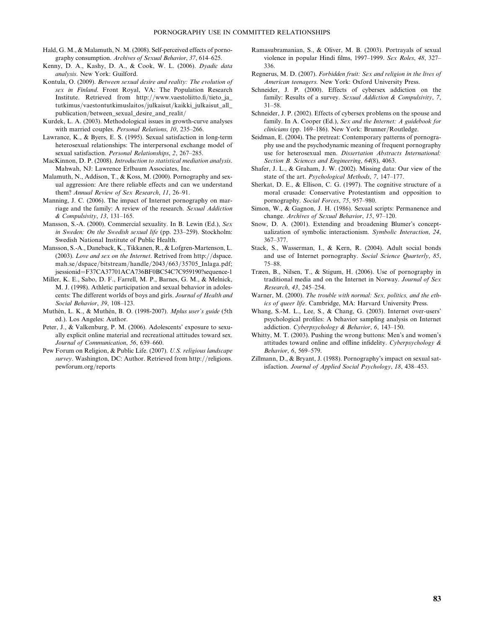- Hald, G. M., & Malamuth, N. M. (2008). Self-perceived effects of pornography consumption. Archives of Sexual Behavior, 37, 614–625.
- Kenny, D. A., Kashy, D. A., & Cook, W. L. (2006). Dyadic data analysis. New York: Guilford.
- Kontula, O. (2009). Between sexual desire and reality: The evolution of sex in Finland. Front Royal, VA: The Population Research Institute. Retrieved from http://www.vaestoliitto.fi/tieto\_ja\_ tutkimus/vaestontutkimuslaitos/julkaisut/kaikki\_julkaisut\_all\_ publication/between\_sexual\_desire\_and\_realit/
- Kurdek, L. A. (2003). Methodological issues in growth-curve analyses with married couples. Personal Relations, 10, 235–266.
- Lawrance, K., & Byers, E. S. (1995). Sexual satisfaction in long-term heterosexual relationships: The interpersonal exchange model of sexual satisfaction. Personal Relationships, 2, 267–285.
- MacKinnon, D. P. (2008). Introduction to statistical mediation analysis. Mahwah, NJ: Lawrence Erlbaum Associates, Inc.
- Malamuth, N., Addison, T., & Koss, M. (2000). Pornography and sexual aggression: Are there reliable effects and can we understand them? Annual Review of Sex Research, 11, 26–91.
- Manning, J. C. (2006). The impact of Internet pornography on marriage and the family: A review of the research. Sexual Addiction & Compulsivity, 13, 131–165.
- Mansson, S.-A. (2000). Commercial sexuality. In B. Lewin (Ed.), Sex in Sweden: On the Swedish sexual life (pp. 233–259). Stockholm: Swedish National Institute of Public Health.
- Mansson, S.-A., Daneback, K., Tikkanen, R., & Lofgren-Martenson, L. (2003). Love and sex on the Internet. Retrived from http://dspace. mah.se/dspace/bitstream/handle/2043/663/35705\_Inlaga.pdf; jsessionid=F37CA37701ACA736BF0BC54C7C959190?sequence-1
- Miller, K. E., Sabo, D. F., Farrell, M. P., Barnes, G. M., & Melnick, M. J. (1998). Athletic participation and sexual behavior in adolescents: The different worlds of boys and girls. Journal of Health and Social Behavior, 39, 108–123.
- Muthén, L. K., & Muthén, B. O. (1998-2007). Mplus user's guide (5th ed.). Los Angeles: Author.
- Peter, J., & Valkenburg, P. M. (2006). Adolescents' exposure to sexually explicit online material and recreational attitudes toward sex. Journal of Communication, 56, 639–660.
- Pew Forum on Religion, & Public Life. (2007). U.S. religious landscape survey. Washington, DC: Author. Retrieved from http://religions. pewforum.org/reports
- Ramasubramanian, S., & Oliver, M. B. (2003). Portrayals of sexual violence in popular Hindi films, 1997–1999. Sex Roles, 48, 327– 336.
- Regnerus, M. D. (2007). Forbidden fruit: Sex and religion in the lives of American teenagers. New York: Oxford University Press.
- Schneider, J. P. (2000). Effects of cybersex addiction on the family: Results of a survey. Sexual Addiction & Compulsivity, 7, 31–58.
- Schneider, J. P. (2002). Effects of cybersex problems on the spouse and family. In A. Cooper (Ed.), Sex and the Internet: A guidebook for clinicians (pp. 169-186). New York: Brunner/Routledge.
- Seidman, E. (2004). The pretreat: Contemporary patterns of pornography use and the psychodynamic meaning of frequent pornography use for heterosexual men. Dissertation Abstracts International: Section B. Sciences and Engineering, 64(8), 4063.
- Shafer, J. L., & Graham, J. W. (2002). Missing data: Our view of the state of the art. Psychological Methods, 7, 147–177.
- Sherkat, D. E., & Ellison, C. G. (1997). The cognitive structure of a moral crusade: Conservative Protestantism and opposition to pornography. Social Forces, 75, 957–980.
- Simon, W., & Gagnon, J. H. (1986). Sexual scripts: Permanence and change. Archives of Sexual Behavior, 15, 97–120.
- Snow, D. A. (2001). Extending and broadening Blumer's conceptualization of symbolic interactionism. Symbolic Interaction, 24, 367–377.
- Stack, S., Wasserman, I., & Kern, R. (2004). Adult social bonds and use of Internet pornography. Social Science Quarterly, 85, 75–88.
- Træen, B., Nilsen, T., & Stigum, H. (2006). Use of pornography in traditional media and on the Internet in Norway. Journal of Sex Research, 43, 245–254.
- Warner, M. (2000). The trouble with normal: Sex, politics, and the ethics of queer life. Cambridge, MA: Harvard University Press.
- Whang, S.-M. L., Lee, S., & Chang, G. (2003). Internet over-users' psychological profiles: A behavior sampling analysis on Internet addiction. Cyberpsychology & Behavior, 6, 143–150.
- Whitty, M. T. (2003). Pushing the wrong buttons: Men's and women's attitudes toward online and offline infidelity. Cyberpsychology & Behavior, 6, 569–579.
- Zillmann, D., & Bryant, J. (1988). Pornography's impact on sexual satisfaction. Journal of Applied Social Psychology, 18, 438–453.